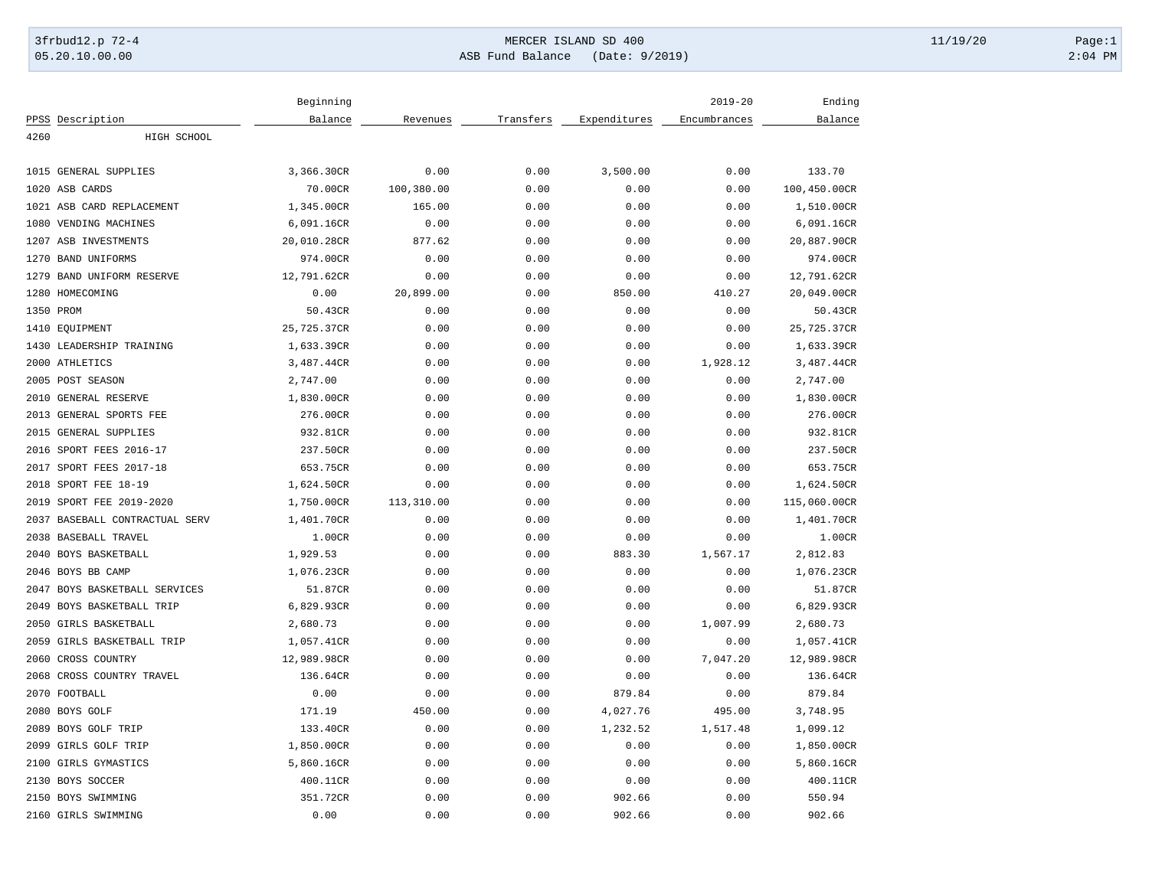## 3frbud12.p 72-4 Page:1 05.20.10.00.00 ASB Fund Balance (Date: 9/2019) 2:04 PM

|      |                           | Beginning   |            |           |              | $2019 - 20$  | Ending       |
|------|---------------------------|-------------|------------|-----------|--------------|--------------|--------------|
|      | PPSS Description          | Balance     | Revenues   | Transfers | Expenditures | Encumbrances | Balance      |
| 4260 | HIGH SCHOOL               |             |            |           |              |              |              |
|      | 1015 GENERAL SUPPLIES     | 3,366.30CR  | 0.00       | 0.00      | 3,500.00     | 0.00         | 133.70       |
| 1020 | ASB CARDS                 | 70.00CR     | 100,380.00 | 0.00      | 0.00         | 0.00         | 100,450.00CR |
|      | 1021 ASB CARD REPLACEMENT | 1,345.00CR  | 165.00     | 0.00      | 0.00         | 0.00         | 1,510.00CR   |
| 1080 | VENDING MACHINES          | 6,091.16CR  | 0.00       | 0.00      | 0.00         | 0.00         | 6,091.16CR   |
| 1207 | ASB INVESTMENTS           | 20,010.28CR | 877.62     | 0.00      | 0.00         | 0.00         | 20,887.90CR  |
| 1270 | <b>BAND UNIFORMS</b>      | 974.00CR    | 0.00       | 0.00      | 0.00         | 0.00         | 974.00CR     |
| 1279 | BAND UNIFORM RESERVE      | 12,791.62CR | 0.00       | 0.00      | 0.00         | 0.00         | 12,791.62CR  |
| 1280 | HOMECOMING                | 0.00        | 20,899.00  | 0.00      | 850.00       | 410.27       | 20,049.00CR  |
|      | 1350 PROM                 | 50.43CR     | 0.00       | 0.00      | 0.00         | 0.00         | 50.43CR      |
|      | 1410 EOUIPMENT            | 25,725.37CR | 0.00       | 0.00      | 0.00         | 0.00         | 25,725.37CR  |
| 1430 | LEADERSHIP TRAINING       | 1,633.39CR  | 0.00       | 0.00      | 0.00         | 0.00         | 1,633.39CR   |
| 2000 | ATHLETICS                 | 3,487.44CR  | 0.00       | 0.00      | 0.00         | 1,928.12     | 3,487.44CR   |
|      | 2005 POST SEASON          | 2,747.00    | 0.00       | 0.00      | 0.00         | 0.00         | 2,747.00     |
| 2010 | GENERAL RESERVE           | 1,830.00CR  | 0.00       | 0.00      | 0.00         | 0.00         | 1,830.00CR   |
| 2013 | GENERAL SPORTS FEE        | 276.00CR    | 0.00       | 0.00      | 0.00         | 0.00         | 276.00CR     |
| 2015 | GENERAL SUPPLIES          | 932.81CR    | 0.00       | 0.00      | 0.00         | 0.00         | 932.81CR     |
| 2016 | SPORT FEES 2016-17        | 237.50CR    | 0.00       | 0.00      | 0.00         | 0.00         | 237.50CR     |
| 2017 | SPORT FEES 2017-18        | 653.75CR    | 0.00       | 0.00      | 0.00         | 0.00         | 653.75CR     |
| 2018 | SPORT FEE 18-19           | 1,624.50CR  | 0.00       | 0.00      | 0.00         | 0.00         | 1,624.50CR   |
| 2019 | SPORT FEE 2019-2020       | 1,750.00CR  | 113,310.00 | 0.00      | 0.00         | 0.00         | 115,060.00CR |
| 2037 | BASEBALL CONTRACTUAL SERV | 1,401.70CR  | 0.00       | 0.00      | 0.00         | 0.00         | 1,401.70CR   |
| 2038 | BASEBALL TRAVEL           | 1.00CR      | 0.00       | 0.00      | 0.00         | 0.00         | 1.00CR       |
| 2040 | BOYS BASKETBALL           | 1,929.53    | 0.00       | 0.00      | 883.30       | 1,567.17     | 2,812.83     |
| 2046 | BOYS BB CAMP              | 1,076.23CR  | 0.00       | 0.00      | 0.00         | 0.00         | 1,076.23CR   |
| 2047 | BOYS BASKETBALL SERVICES  | 51.87CR     | 0.00       | 0.00      | 0.00         | 0.00         | 51.87CR      |
| 2049 | BOYS BASKETBALL TRIP      | 6,829.93CR  | 0.00       | 0.00      | 0.00         | 0.00         | 6,829.93CR   |
| 2050 | <b>GIRLS BASKETBALL</b>   | 2,680.73    | 0.00       | 0.00      | 0.00         | 1,007.99     | 2,680.73     |
| 2059 | GIRLS BASKETBALL TRIP     | 1,057.41CR  | 0.00       | 0.00      | 0.00         | 0.00         | 1,057.41CR   |
| 2060 | CROSS COUNTRY             | 12,989.98CR | 0.00       | 0.00      | 0.00         | 7,047.20     | 12,989.98CR  |
| 2068 | CROSS COUNTRY TRAVEL      | 136.64CR    | 0.00       | 0.00      | 0.00         | 0.00         | 136.64CR     |
|      | 2070 FOOTBALL             | 0.00        | 0.00       | 0.00      | 879.84       | 0.00         | 879.84       |
|      | 2080 BOYS GOLF            | 171.19      | 450.00     | 0.00      | 4,027.76     | 495.00       | 3,748.95     |
|      | 2089 BOYS GOLF TRIP       | 133.40CR    | 0.00       | 0.00      | 1,232.52     | 1,517.48     | 1,099.12     |
| 2099 | GIRLS GOLF TRIP           | 1,850.00CR  | 0.00       | 0.00      | 0.00         | 0.00         | 1,850.00CR   |
| 2100 | GIRLS GYMASTICS           | 5,860.16CR  | 0.00       | 0.00      | 0.00         | 0.00         | 5,860.16CR   |
|      | 2130 BOYS SOCCER          | 400.11CR    | 0.00       | 0.00      | 0.00         | 0.00         | 400.11CR     |
|      | 2150 BOYS SWIMMING        | 351.72CR    | 0.00       | 0.00      | 902.66       | 0.00         | 550.94       |
|      | 2160 GIRLS SWIMMING       | 0.00        | 0.00       | 0.00      | 902.66       | 0.00         | 902.66       |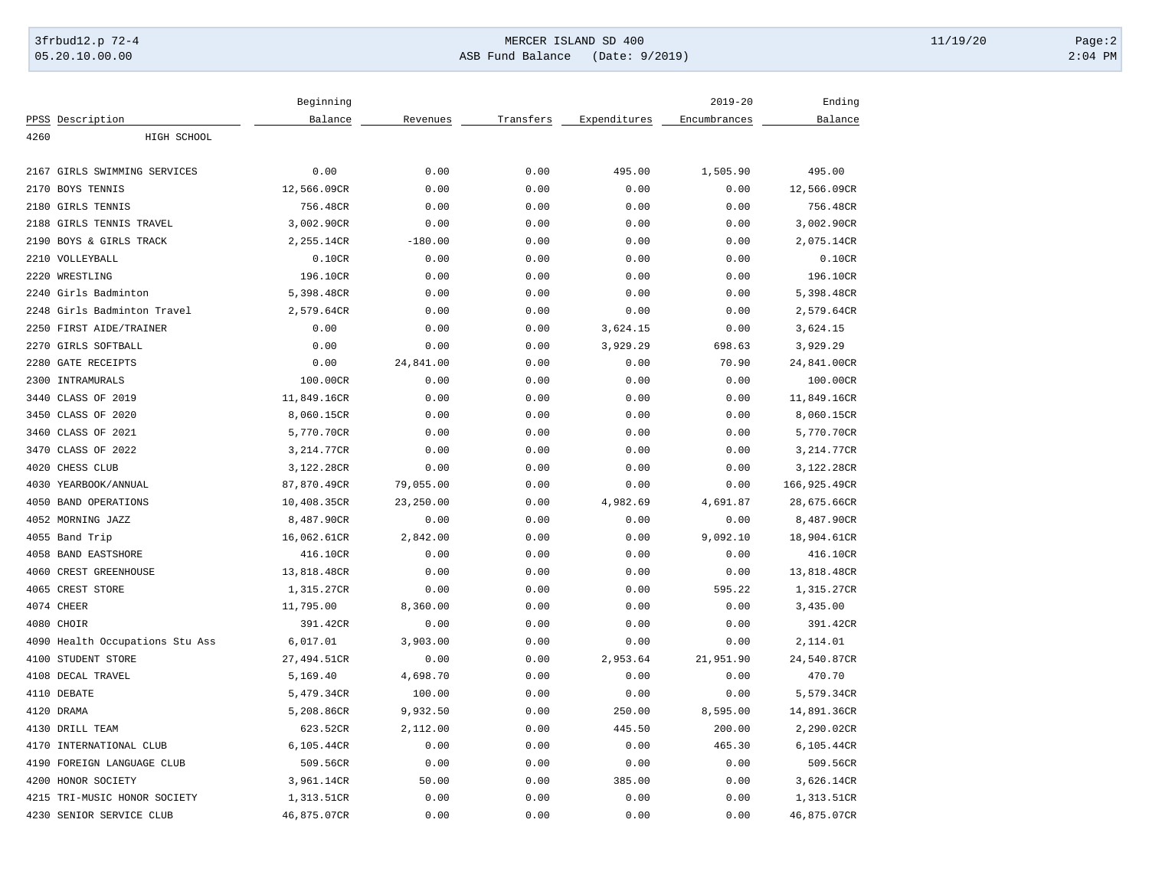## 3frbud12.p 72-4 Page:2 05.20.10.00.00 ASB Fund Balance (Date: 9/2019) 2:04 PM

|                                 | Beginning   |           |           |              | $2019 - 20$  | Ending       |
|---------------------------------|-------------|-----------|-----------|--------------|--------------|--------------|
| PPSS Description                | Balance     | Revenues  | Transfers | Expenditures | Encumbrances | Balance      |
| 4260<br>HIGH SCHOOL             |             |           |           |              |              |              |
|                                 |             |           |           |              |              |              |
| 2167 GIRLS SWIMMING SERVICES    | 0.00        | 0.00      | 0.00      | 495.00       | 1,505.90     | 495.00       |
| 2170<br>BOYS TENNIS             | 12,566.09CR | 0.00      | 0.00      | 0.00         | 0.00         | 12,566.09CR  |
| 2180<br><b>GIRLS TENNIS</b>     | 756.48CR    | 0.00      | 0.00      | 0.00         | 0.00         | 756.48CR     |
| 2188 GIRLS TENNIS TRAVEL        | 3,002.90CR  | 0.00      | 0.00      | 0.00         | 0.00         | 3,002.90CR   |
| BOYS & GIRLS TRACK<br>2190      | 2,255.14CR  | $-180.00$ | 0.00      | 0.00         | 0.00         | 2,075.14CR   |
| 2210 VOLLEYBALL                 | 0.10CR      | 0.00      | 0.00      | 0.00         | 0.00         | 0.10CR       |
| 2220<br>WRESTLING               | 196.10CR    | 0.00      | 0.00      | 0.00         | 0.00         | 196.10CR     |
| 2240 Girls Badminton            | 5,398.48CR  | 0.00      | 0.00      | 0.00         | 0.00         | 5,398.48CR   |
| 2248 Girls Badminton Travel     | 2,579.64CR  | 0.00      | 0.00      | 0.00         | 0.00         | 2,579.64CR   |
| 2250 FIRST AIDE/TRAINER         | 0.00        | 0.00      | 0.00      | 3,624.15     | 0.00         | 3,624.15     |
| 2270<br>GIRLS SOFTBALL          | 0.00        | 0.00      | 0.00      | 3,929.29     | 698.63       | 3,929.29     |
| <b>GATE RECEIPTS</b><br>2280    | 0.00        | 24,841.00 | 0.00      | 0.00         | 70.90        | 24,841.00CR  |
| 2300<br>INTRAMURALS             | 100.00CR    | 0.00      | 0.00      | 0.00         | 0.00         | 100.00CR     |
| 3440 CLASS OF 2019              | 11,849.16CR | 0.00      | 0.00      | 0.00         | 0.00         | 11,849.16CR  |
| 3450 CLASS OF 2020              | 8,060.15CR  | 0.00      | 0.00      | 0.00         | 0.00         | 8,060.15CR   |
| 3460 CLASS OF 2021              | 5,770.70CR  | 0.00      | 0.00      | 0.00         | 0.00         | 5,770.70CR   |
| 3470 CLASS OF 2022              | 3,214.77CR  | 0.00      | 0.00      | 0.00         | 0.00         | 3,214.77CR   |
| 4020<br>CHESS CLUB              | 3,122.28CR  | 0.00      | 0.00      | 0.00         | 0.00         | 3,122.28CR   |
| 4030<br>YEARBOOK/ANNUAL         | 87,870.49CR | 79,055.00 | 0.00      | 0.00         | 0.00         | 166,925.49CR |
| <b>BAND OPERATIONS</b><br>4050  | 10,408.35CR | 23,250.00 | 0.00      | 4,982.69     | 4,691.87     | 28,675.66CR  |
| 4052<br>MORNING JAZZ            | 8,487.90CR  | 0.00      | 0.00      | 0.00         | 0.00         | 8,487.90CR   |
| 4055 Band Trip                  | 16,062.61CR | 2,842.00  | 0.00      | 0.00         | 9,092.10     | 18,904.61CR  |
| 4058 BAND EASTSHORE             | 416.10CR    | 0.00      | 0.00      | 0.00         | 0.00         | 416.10CR     |
| 4060 CREST GREENHOUSE           | 13,818.48CR | 0.00      | 0.00      | 0.00         | 0.00         | 13,818.48CR  |
| 4065 CREST STORE                | 1,315.27CR  | 0.00      | 0.00      | 0.00         | 595.22       | 1,315.27CR   |
| 4074 CHEER                      | 11,795.00   | 8,360.00  | 0.00      | 0.00         | 0.00         | 3,435.00     |
| 4080 CHOIR                      | 391.42CR    | 0.00      | 0.00      | 0.00         | 0.00         | 391.42CR     |
| 4090 Health Occupations Stu Ass | 6,017.01    | 3,903.00  | 0.00      | 0.00         | 0.00         | 2,114.01     |
| 4100<br>STUDENT STORE           | 27,494.51CR | 0.00      | 0.00      | 2,953.64     | 21,951.90    | 24,540.87CR  |
| 4108 DECAL TRAVEL               | 5,169.40    | 4,698.70  | 0.00      | 0.00         | 0.00         | 470.70       |
| 4110 DEBATE                     | 5,479.34CR  | 100.00    | 0.00      | 0.00         | 0.00         | 5,579.34CR   |
| 4120 DRAMA                      | 5,208.86CR  | 9,932.50  | 0.00      | 250.00       | 8,595.00     | 14,891.36CR  |
| 4130 DRILL TEAM                 | 623.52CR    | 2,112.00  | 0.00      | 445.50       | 200.00       | 2,290.02CR   |
| 4170<br>INTERNATIONAL CLUB      | 6,105.44CR  | 0.00      | 0.00      | 0.00         | 465.30       | 6,105.44CR   |
|                                 |             |           |           |              |              |              |
| 4190<br>FOREIGN LANGUAGE CLUB   | 509.56CR    | 0.00      | 0.00      | 0.00         | 0.00         | 509.56CR     |
| 4200 HONOR SOCIETY              | 3,961.14CR  | 50.00     | 0.00      | 385.00       | 0.00         | 3,626.14CR   |
| 4215 TRI-MUSIC HONOR SOCIETY    | 1,313.51CR  | 0.00      | 0.00      | 0.00         | 0.00         | 1,313.51CR   |
| 4230 SENIOR SERVICE CLUB        | 46,875.07CR | 0.00      | 0.00      | 0.00         | 0.00         | 46,875.07CR  |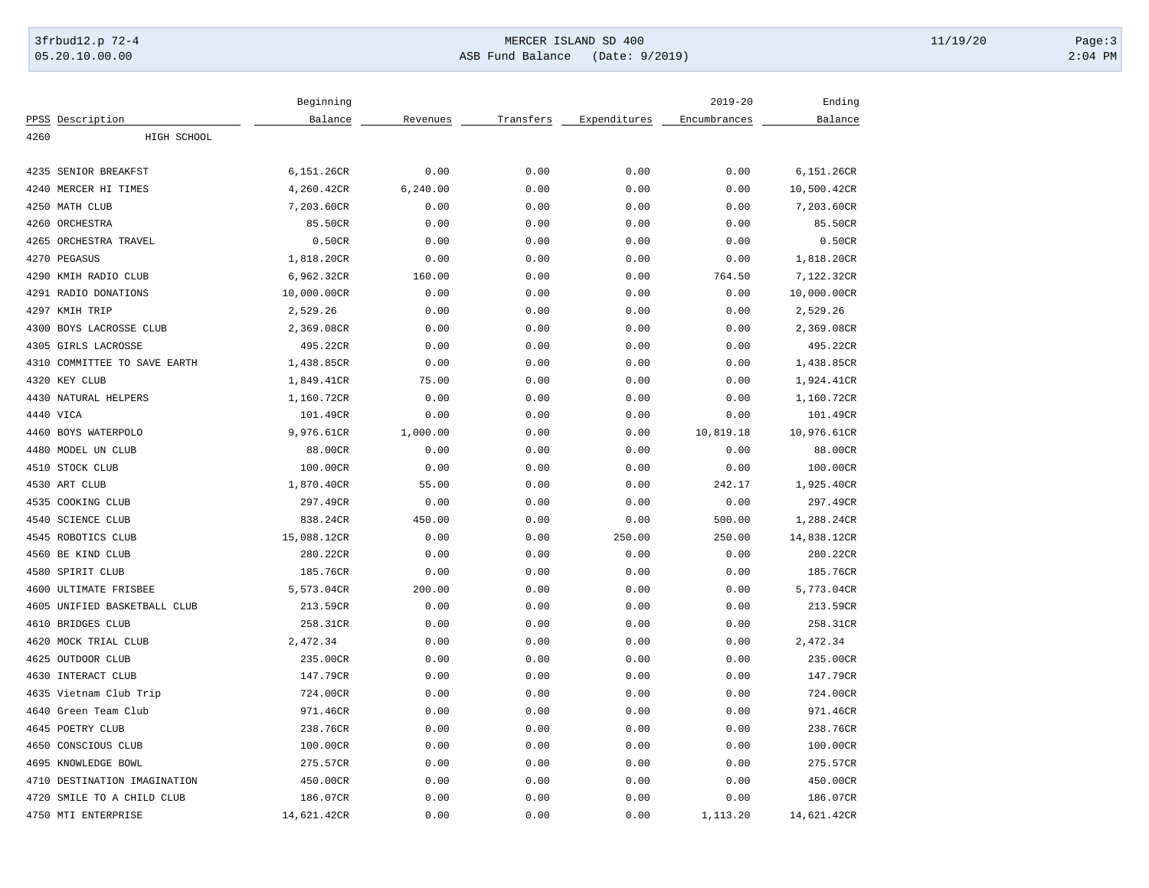## 3frbud12.p 72-4 Page:3 05.20.10.00.00 ASB Fund Balance (Date: 9/2019) 2:04 PM

|                              | Beginning   |           |           |              | $2019 - 20$  | Ending      |
|------------------------------|-------------|-----------|-----------|--------------|--------------|-------------|
| PPSS Description             | Balance     | Revenues  | Transfers | Expenditures | Encumbrances | Balance     |
| 4260<br>HIGH SCHOOL          |             |           |           |              |              |             |
| 4235 SENIOR BREAKFST         | 6,151.26CR  | 0.00      | 0.00      | 0.00         | 0.00         | 6,151.26CR  |
| 4240 MERCER HI TIMES         | 4,260.42CR  | 6, 240.00 | 0.00      | 0.00         | 0.00         | 10,500.42CR |
| 4250 MATH CLUB               | 7,203.60CR  | 0.00      | 0.00      | 0.00         | 0.00         | 7,203.60CR  |
| 4260 ORCHESTRA               | 85.50CR     | 0.00      | 0.00      | 0.00         | 0.00         | 85.50CR     |
| 4265 ORCHESTRA TRAVEL        | 0.50CR      | 0.00      | 0.00      | 0.00         | 0.00         | 0.50CR      |
| 4270 PEGASUS                 | 1,818.20CR  | 0.00      | 0.00      | 0.00         | 0.00         | 1,818.20CR  |
| 4290 KMIH RADIO CLUB         | 6,962.32CR  | 160.00    | 0.00      | 0.00         | 764.50       | 7,122.32CR  |
| 4291 RADIO DONATIONS         | 10,000.00CR | 0.00      | 0.00      | 0.00         | 0.00         | 10,000.00CR |
| 4297 KMIH TRIP               | 2,529.26    | 0.00      | 0.00      | 0.00         | 0.00         | 2,529.26    |
| 4300 BOYS LACROSSE CLUB      | 2,369.08CR  | 0.00      | 0.00      | 0.00         | 0.00         | 2,369.08CR  |
| 4305 GIRLS LACROSSE          | 495.22CR    | 0.00      | 0.00      | 0.00         | 0.00         | 495.22CR    |
| 4310 COMMITTEE TO SAVE EARTH | 1,438.85CR  | 0.00      | 0.00      | 0.00         | 0.00         | 1,438.85CR  |
| 4320 KEY CLUB                | 1,849.41CR  | 75.00     | 0.00      | 0.00         | 0.00         | 1,924.41CR  |
| 4430 NATURAL HELPERS         | 1,160.72CR  | 0.00      | 0.00      | 0.00         | 0.00         | 1,160.72CR  |
| 4440 VICA                    | 101.49CR    | 0.00      | 0.00      | 0.00         | 0.00         | 101.49CR    |
| 4460 BOYS WATERPOLO          | 9,976.61CR  | 1,000.00  | 0.00      | 0.00         | 10,819.18    | 10,976.61CR |
| 4480 MODEL UN CLUB           | 88.00CR     | 0.00      | 0.00      | 0.00         | 0.00         | 88.00CR     |
| 4510 STOCK CLUB              | 100.00CR    | 0.00      | 0.00      | 0.00         | 0.00         | 100.00CR    |
| 4530 ART CLUB                | 1,870.40CR  | 55.00     | 0.00      | 0.00         | 242.17       | 1,925.40CR  |
| 4535 COOKING CLUB            | 297.49CR    | 0.00      | 0.00      | 0.00         | 0.00         | 297.49CR    |
| 4540 SCIENCE CLUB            | 838.24CR    | 450.00    | 0.00      | 0.00         | 500.00       | 1,288.24CR  |
| 4545 ROBOTICS CLUB           | 15,088.12CR | 0.00      | 0.00      | 250.00       | 250.00       | 14,838.12CR |
| 4560 BE KIND CLUB            | 280.22CR    | 0.00      | 0.00      | 0.00         | 0.00         | 280.22CR    |
| 4580 SPIRIT CLUB             | 185.76CR    | 0.00      | 0.00      | 0.00         | 0.00         | 185.76CR    |
| 4600 ULTIMATE FRISBEE        | 5,573.04CR  | 200.00    | 0.00      | 0.00         | 0.00         | 5,773.04CR  |
| 4605 UNIFIED BASKETBALL CLUB | 213.59CR    | 0.00      | 0.00      | 0.00         | 0.00         | 213.59CR    |
| 4610 BRIDGES CLUB            | 258.31CR    | 0.00      | 0.00      | 0.00         | 0.00         | 258.31CR    |
| 4620 MOCK TRIAL CLUB         | 2,472.34    | 0.00      | 0.00      | 0.00         | 0.00         | 2,472.34    |
| 4625 OUTDOOR CLUB            | 235.00CR    | 0.00      | 0.00      | 0.00         | 0.00         | 235.00CR    |
| 4630 INTERACT CLUB           | 147.79CR    | 0.00      | 0.00      | 0.00         | 0.00         | 147.79CR    |
| 4635 Vietnam Club Trip       | 724.00CR    | 0.00      | 0.00      | 0.00         | 0.00         | 724.00CR    |
| 4640 Green Team Club         | 971.46CR    | 0.00      | 0.00      | 0.00         | 0.00         | 971.46CR    |
| 4645 POETRY CLUB             | 238.76CR    | 0.00      | 0.00      | 0.00         | 0.00         | 238.76CR    |
| 4650 CONSCIOUS CLUB          | 100.00CR    | 0.00      | 0.00      | 0.00         | 0.00         | 100.00CR    |
| 4695 KNOWLEDGE BOWL          | 275.57CR    | 0.00      | 0.00      | 0.00         | 0.00         | 275.57CR    |
| 4710 DESTINATION IMAGINATION | 450.00CR    | 0.00      | 0.00      | 0.00         | 0.00         | 450.00CR    |
| 4720 SMILE TO A CHILD CLUB   | 186.07CR    | 0.00      | 0.00      | 0.00         | 0.00         | 186.07CR    |
| 4750 MTI ENTERPRISE          | 14,621.42CR | 0.00      | 0.00      | 0.00         | 1,113.20     | 14,621.42CR |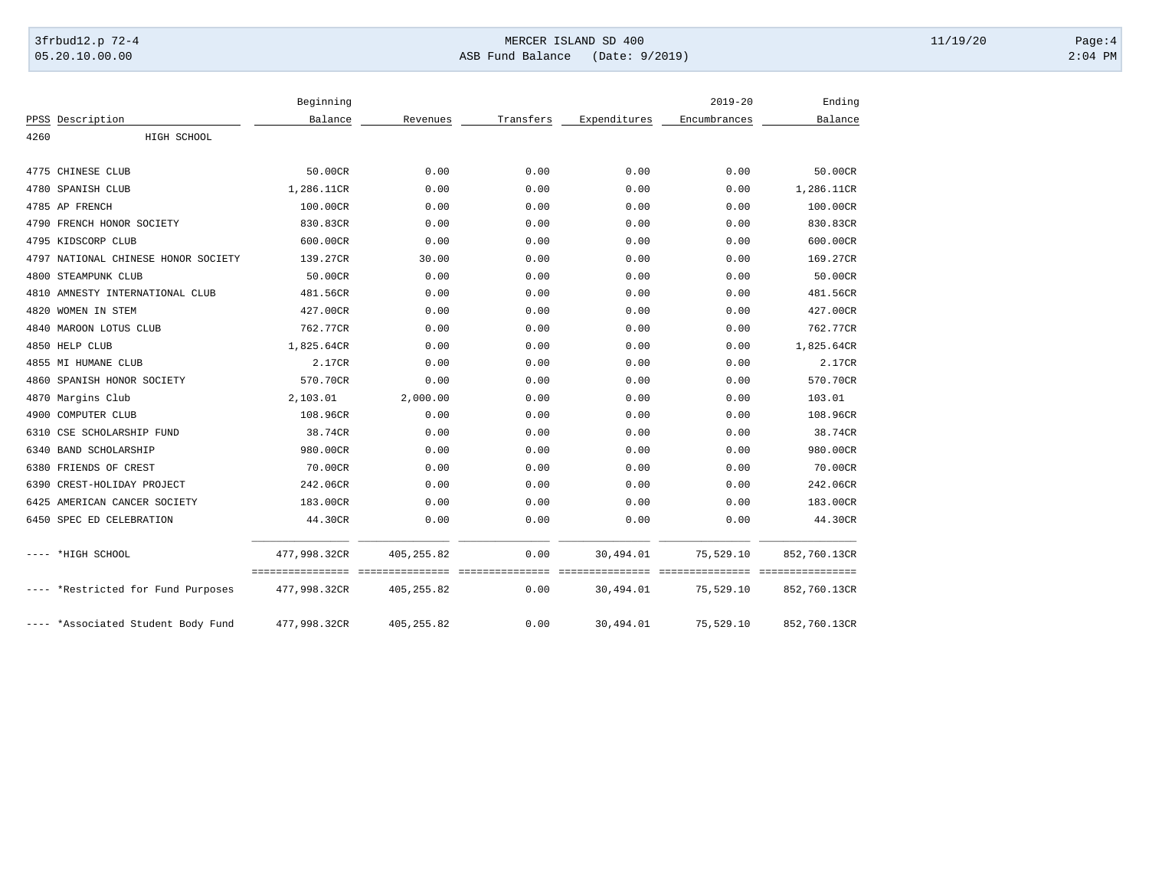## 3frbud12.p 72-4 Page:4 Page:4 05.20.10.00.00 ASB Fund Balance (Date: 9/2019) 2:04 PM

|      |                                     | Beginning    |             |           |              | $2019 - 20$  | Ending       |
|------|-------------------------------------|--------------|-------------|-----------|--------------|--------------|--------------|
|      | PPSS Description                    | Balance      | Revenues    | Transfers | Expenditures | Encumbrances | Balance      |
| 4260 | HIGH SCHOOL                         |              |             |           |              |              |              |
|      |                                     |              |             |           |              |              |              |
|      | 4775 CHINESE CLUB                   | 50.00CR      | 0.00        | 0.00      | 0.00         | 0.00         | 50.00CR      |
|      | 4780 SPANISH CLUB                   | 1,286.11CR   | 0.00        | 0.00      | 0.00         | 0.00         | 1,286.11CR   |
|      | 4785 AP FRENCH                      | 100.00CR     | 0.00        | 0.00      | 0.00         | 0.00         | 100.00CR     |
|      | 4790 FRENCH HONOR SOCIETY           | 830.83CR     | 0.00        | 0.00      | 0.00         | 0.00         | 830.83CR     |
|      | 4795 KIDSCORP CLUB                  | 600.00CR     | 0.00        | 0.00      | 0.00         | 0.00         | 600.00CR     |
|      | 4797 NATIONAL CHINESE HONOR SOCIETY | 139.27CR     | 30.00       | 0.00      | 0.00         | 0.00         | 169.27CR     |
|      | 4800 STEAMPUNK CLUB                 | 50.00CR      | 0.00        | 0.00      | 0.00         | 0.00         | 50.00CR      |
|      | 4810 AMNESTY INTERNATIONAL CLUB     | 481.56CR     | 0.00        | 0.00      | 0.00         | 0.00         | 481.56CR     |
|      | 4820 WOMEN IN STEM                  | 427.00CR     | 0.00        | 0.00      | 0.00         | 0.00         | 427.00CR     |
|      | 4840 MAROON LOTUS CLUB              | 762.77CR     | 0.00        | 0.00      | 0.00         | 0.00         | 762.77CR     |
|      | 4850 HELP CLUB                      | 1,825.64CR   | 0.00        | 0.00      | 0.00         | 0.00         | 1,825.64CR   |
|      | 4855 MI HUMANE CLUB                 | 2.17CR       | 0.00        | 0.00      | 0.00         | 0.00         | 2.17CR       |
| 4860 | SPANISH HONOR SOCIETY               | 570.70CR     | 0.00        | 0.00      | 0.00         | 0.00         | 570.70CR     |
|      | 4870 Margins Club                   | 2,103.01     | 2,000.00    | 0.00      | 0.00         | 0.00         | 103.01       |
| 4900 | COMPUTER CLUB                       | 108.96CR     | 0.00        | 0.00      | 0.00         | 0.00         | 108.96CR     |
|      | 6310 CSE SCHOLARSHIP FUND           | 38.74CR      | 0.00        | 0.00      | 0.00         | 0.00         | 38.74CR      |
| 6340 | <b>BAND SCHOLARSHIP</b>             | 980.00CR     | 0.00        | 0.00      | 0.00         | 0.00         | 980.00CR     |
|      | 6380 FRIENDS OF CREST               | 70.00CR      | 0.00        | 0.00      | 0.00         | 0.00         | 70.00CR      |
|      | 6390 CREST-HOLIDAY PROJECT          | 242.06CR     | 0.00        | 0.00      | 0.00         | 0.00         | 242.06CR     |
|      | 6425 AMERICAN CANCER SOCIETY        | 183.00CR     | 0.00        | 0.00      | 0.00         | 0.00         | 183.00CR     |
|      | 6450 SPEC ED CELEBRATION            | 44.30CR      | 0.00        | 0.00      | 0.00         | 0.00         | 44.30CR      |
|      |                                     |              |             |           |              |              |              |
|      | ---- *HIGH SCHOOL                   | 477,998.32CR | 405, 255.82 | 0.00      | 30,494.01    | 75,529.10    | 852,760.13CR |
|      | ---- *Restricted for Fund Purposes  | 477,998.32CR | 405, 255.82 | 0.00      | 30,494.01    | 75,529.10    | 852,760.13CR |
|      | ---- *Associated Student Body Fund  | 477,998.32CR | 405, 255.82 | 0.00      | 30,494.01    | 75,529.10    | 852,760.13CR |